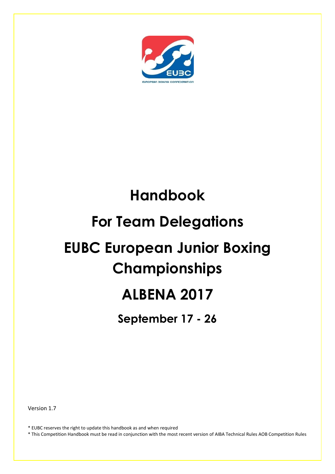

# **Handbook**

# **For Team Delegations**

# **EUBC European Junior Boxing Championships**

# **ALBENA 2017**

**September 17 - 26**

Version 1.7

\* EUBC reserves the right to update this handbook as and when required

\* This Competition Handbook must be read in conjunction with the most recent version of AIBA Technical Rules AOB Competition Rules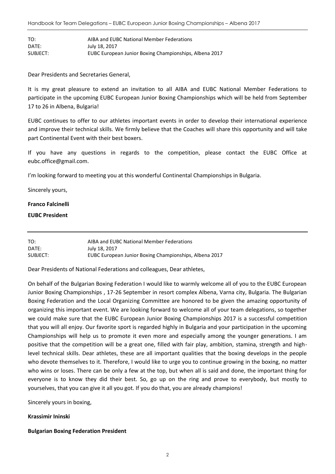| TO:      | AIBA and EUBC National Member Federations              |
|----------|--------------------------------------------------------|
| DATE:    | July 18, 2017                                          |
| SUBJECT: | EUBC European Junior Boxing Championships, Albena 2017 |

Dear Presidents and Secretaries General,

It is my great pleasure to extend an invitation to all AIBA and EUBC National Member Federations to participate in the upcoming EUBC European Junior Boxing Championships which will be held from September 17 to 26 in Albena, Bulgaria!

EUBC continues to offer to our athletes important events in order to develop their international experience and improve their technical skills. We firmly believe that the Coaches will share this opportunity and will take part Continental Event with their best boxers.

If you have any questions in regards to the competition, please contact the EUBC Office at eubc.office@gmail.com.

I'm looking forward to meeting you at this wonderful Continental Championships in Bulgaria.

Sincerely yours,

#### **Franco Falcinelli**

#### **EUBC President**

| TO:      | AIBA and EUBC National Member Federations              |
|----------|--------------------------------------------------------|
| DATE:    | July 18, 2017                                          |
| SUBJECT: | EUBC European Junior Boxing Championships, Albena 2017 |

Dear Presidents of National Federations and colleagues, Dear athletes,

On behalf of the Bulgarian Boxing Federation I would like to warmly welcome all of you to the EUBC European Junior Boxing Championships , 17-26 September in resort complex Albena, Varna city, Bulgaria. The Bulgarian Boxing Federation and the Local Organizing Committee are honored to be given the amazing opportunity of organizing this important event. We are looking forward to welcome all of your team delegations, so together we could make sure that the EUBC European Junior Boxing Championships 2017 is a successful competition that you will all enjoy. Our favorite sport is regarded highly in Bulgaria and your participation in the upcoming Championships will help us to promote it even more and especially among the younger generations. I am positive that the competition will be a great one, filled with fair play, ambition, stamina, strength and highlevel technical skills. Dear athletes, these are all important qualities that the boxing develops in the people who devote themselves to it. Therefore, I would like to urge you to continue growing in the boxing, no matter who wins or loses. There can be only a few at the top, but when all is said and done, the important thing for everyone is to know they did their best. So, go up on the ring and prove to everybody, but mostly to yourselves, that you can give it all you got. If you do that, you are already champions!

Sincerely yours in boxing,

#### **Krassimir Ininski**

#### **Bulgarian Boxing Federation President**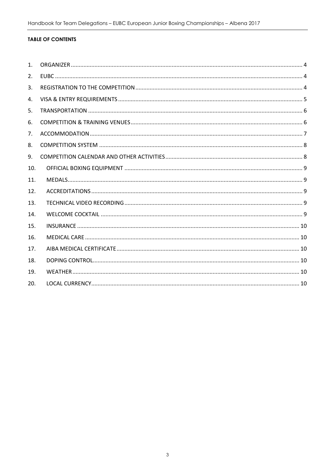#### **TABLE OF CONTENTS**

| 1 <sub>1</sub> |  |
|----------------|--|
| 2.             |  |
| 3.             |  |
| 4.             |  |
| 5.             |  |
| 6.             |  |
| 7.             |  |
| 8.             |  |
| 9.             |  |
| 10.            |  |
| 11.            |  |
| 12.            |  |
| 13.            |  |
| 14.            |  |
| 15.            |  |
| 16.            |  |
| 17.            |  |
| 18.            |  |
| 19.            |  |
| 20.            |  |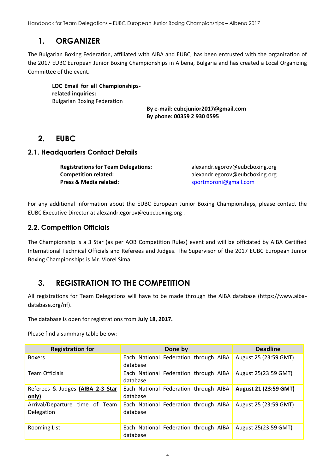## **1. ORGANIZER**

<span id="page-3-0"></span>The Bulgarian Boxing Federation, affiliated with AIBA and EUBC, has been entrusted with the organization of the 2017 EUBC European Junior Boxing Championships in Albena, Bulgaria and has created a Local Organizing Committee of the event.

**LOC Email for all Championshipsrelated inquiries:** Bulgarian Boxing Federation

**By e-mail: eubcjunior2017@gmail.com By phone: 00359 2 930 0595**

## <span id="page-3-1"></span>**2. EUBC**

#### **2.1. Headquarters Contact Details**

**Registrations for Team Delegations:** alexandr.egorov@eubcboxing.org **Competition related:** alexandr.egorov@eubcboxing.org **Press & Media related:** [sportmoroni@gmail.com](mailto:sportmoroni@gmail.com)

For any additional information about the EUBC European Junior Boxing Championships, please contact the EUBC Executive Director at alexandr.egorov@eubcboxing.org .

### **2.2. Competition Officials**

The Championship is a 3 Star (as per AOB Competition Rules) event and will be officiated by AIBA Certified International Technical Officials and Referees and Judges. The Supervisor of the 2017 EUBC European Junior Boxing Championships is Mr. Viorel Sima

## <span id="page-3-2"></span>**3. REGISTRATION TO THE COMPETITION**

All registrations for Team Delegations will have to be made through the AIBA database (https://www.aibadatabase.org/nf).

The database is open for registrations from **July 18, 2017.**

Please find a summary table below:

| <b>Registration for</b>                      | Done by                                           | <b>Deadline</b>              |
|----------------------------------------------|---------------------------------------------------|------------------------------|
| <b>Boxers</b>                                | Each National Federation through AIBA<br>database | August 25 (23:59 GMT)        |
| <b>Team Officials</b>                        | Each National Federation through AIBA<br>database | August 25(23:59 GMT)         |
| Referees & Judges (AIBA 2-3 Star<br>only)    | Each National Federation through AIBA<br>database | <b>August 21 (23:59 GMT)</b> |
| Arrival/Departure time of Team<br>Delegation | Each National Federation through AIBA<br>database | August 25 (23:59 GMT)        |
| <b>Rooming List</b>                          | Each National Federation through AIBA<br>database | August 25(23:59 GMT)         |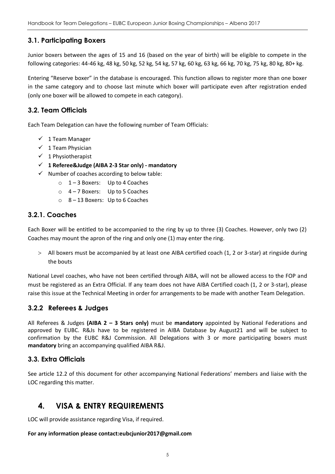### **3.1. Participating Boxers**

Junior boxers between the ages of 15 and 16 (based on the year of birth) will be eligible to compete in the following categories: 44-46 kg, 48 kg, 50 kg, 52 kg, 54 kg, 57 kg, 60 kg, 63 kg, 66 kg, 70 kg, 75 kg, 80 kg, 80+ kg.

Entering "Reserve boxer" in the database is encouraged. This function allows to register more than one boxer in the same category and to choose last minute which boxer will participate even after registration ended (only one boxer will be allowed to compete in each category).

### **3.2. Team Officials**

Each Team Delegation can have the following number of Team Officials:

- $\checkmark$  1 Team Manager
- $\checkmark$  1 Team Physician
- $\checkmark$  1 Physiotherapist
- **1 Referee&Judge (AIBA 2-3 Star only) - mandatory**
- $\checkmark$  Number of coaches according to below table:
	- o 1 3 Boxers: Up to 4 Coaches
	- o 4 7 Boxers: Up to 5 Coaches
	- o 8 13 Boxers: Up to 6 Coaches

#### **3.2.1. Coaches**

Each Boxer will be entitled to be accompanied to the ring by up to three (3) Coaches. However, only two (2) Coaches may mount the apron of the ring and only one (1) may enter the ring.

 All boxers must be accompanied by at least one AIBA certified coach (1, 2 or 3-star) at ringside during the bouts

National Level coaches, who have not been certified through AIBA, will not be allowed access to the FOP and must be registered as an Extra Official. If any team does not have AIBA Certified coach (1, 2 or 3-star), please raise this issue at the Technical Meeting in order for arrangements to be made with another Team Delegation.

### **3.2.2 Referees & Judges**

All Referees & Judges **(AIBA 2 – 3 Stars only)** must be **mandatory** appointed by National Federations and approved by EUBC. R&Js have to be registered in AIBA Database by August21 and will be subject to confirmation by the EUBC R&J Commission. All Delegations with 3 or more participating boxers must **mandatory** bring an accompanying qualified AIBA R&J.

### **3.3. Extra Officials**

See article 12.2 of this document for other accompanying National Federations' members and liaise with the LOC regarding this matter.

## <span id="page-4-0"></span>**4. VISA & ENTRY REQUIREMENTS**

LOC will provide assistance regarding Visa, if required.

#### **For any information please contact:eubcjunior2017@gmail.com**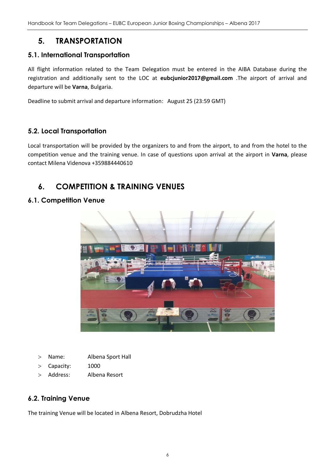## **5. TRANSPORTATION**

#### <span id="page-5-0"></span>**5.1. International Transportation**

All flight information related to the Team Delegation must be entered in the AIBA Database during the registration and additionally sent to the LOC at **eubcjunior2017@gmail.com** .The airport of arrival and departure will be **Varna**, Bulgaria.

Deadline to submit arrival and departure information: August 25 (23:59 GMT)

#### **5.2. Local Transportation**

Local transportation will be provided by the organizers to and from the airport, to and from the hotel to the competition venue and the training venue. In case of questions upon arrival at the airport in **Varna**, please contact Milena Videnova +359884440610

## <span id="page-5-1"></span>**6. COMPETITION & TRAINING VENUES**

#### **6.1. Competition Venue**



- Name: Albena Sport Hall
- Capacity: 1000
- Address: Albena Resort

### **6.2. Training Venue**

The training Venue will be located in Albena Resort, Dobrudzha Hotel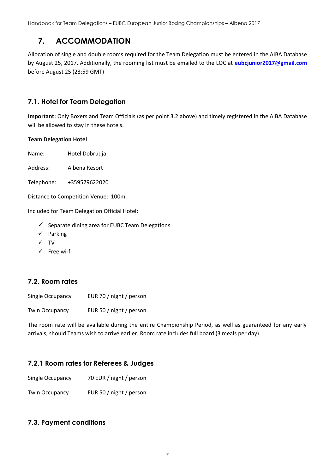## **7. ACCOMMODATION**

<span id="page-6-0"></span>Allocation of single and double rooms required for the Team Delegation must be entered in the AIBA Database by August 25, 2017. Additionally, the rooming list must be emailed to the LOC at **[eubcjunior2017@gmail.com](mailto:eubcjunior2017@gmail.com)** before August 25 (23:59 GMT)

### **7.1. Hotel for Team Delegation**

**Important:** Only Boxers and Team Officials (as per point 3.2 above) and timely registered in the AIBA Database will be allowed to stay in these hotels.

#### **Team Delegation Hotel**

Name: Hotel Dobrudja

Address: Albena Resort

Telephone: +359579622020

Distance to Competition Venue: 100m.

Included for Team Delegation Official Hotel:

- $\checkmark$  Separate dining area for EUBC Team Delegations
- $\checkmark$  Parking
- $\checkmark$  TV
- $\checkmark$  Free wi-fi

## **7.2. Room rates**

| Single Occupancy      | EUR 70 / night / person |
|-----------------------|-------------------------|
| <b>Twin Occupancy</b> | EUR 50 / night / person |

The room rate will be available during the entire Championship Period, as well as guaranteed for any early arrivals, should Teams wish to arrive earlier. Room rate includes full board (3 meals per day).

### **7.2.1 Room rates for Referees & Judges**

| Single Occupancy | 70 EUR / night / person |  |
|------------------|-------------------------|--|
|                  |                         |  |

Twin Occupancy EUR 50 / night / person

### **7.3. Payment conditions**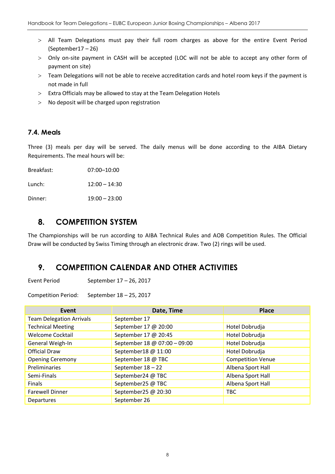- All Team Delegations must pay their full room charges as above for the entire Event Period (September17 – 26)
- Only on-site payment in CASH will be accepted (LOC will not be able to accept any other form of payment on site)
- Team Delegations will not be able to receive accreditation cards and hotel room keys if the payment is not made in full
- Extra Officials may be allowed to stay at the Team Delegation Hotels
- No deposit will be charged upon registration

#### **7.4. Meals**

Three (3) meals per day will be served. The daily menus will be done according to the AIBA Dietary Requirements. The meal hours will be:

Breakfast: 07:00–10:00 Lunch: 12:00 – 14:30 Dinner: 19:00 – 23:00

## <span id="page-7-0"></span>**8. COMPETITION SYSTEM**

The Championships will be run according to AIBA Technical Rules and AOB Competition Rules. The Official Draw will be conducted by Swiss Timing through an electronic draw. Two (2) rings will be used.

## <span id="page-7-1"></span>**9. COMPETITION CALENDAR AND OTHER ACTIVITIES**

Event Period September 17 – 26, 2017

Competition Period: September 18 – 25, 2017

| Event                           | Date, Time                   | <b>Place</b>             |
|---------------------------------|------------------------------|--------------------------|
| <b>Team Delegation Arrivals</b> | September 17                 |                          |
| <b>Technical Meeting</b>        | September 17 @ 20:00         | Hotel Dobrudja           |
| <b>Welcome Cocktail</b>         | September 17 @ 20:45         | Hotel Dobrudja           |
| General Weigh-In                | September 18 @ 07:00 - 09:00 | Hotel Dobrudja           |
| <b>Official Draw</b>            | September18 @ 11:00          | Hotel Dobrudja           |
| <b>Opening Ceremony</b>         | September 18 @ TBC           | <b>Competition Venue</b> |
| Preliminaries                   | September 18 - 22            | Albena Sport Hall        |
| Semi-Finals                     | September24 @ TBC            | Albena Sport Hall        |
| Finals                          | September25 @ TBC            | Albena Sport Hall        |
| <b>Farewell Dinner</b>          | September25 @ 20:30          | <b>TBC</b>               |
| <b>Departures</b>               | September 26                 |                          |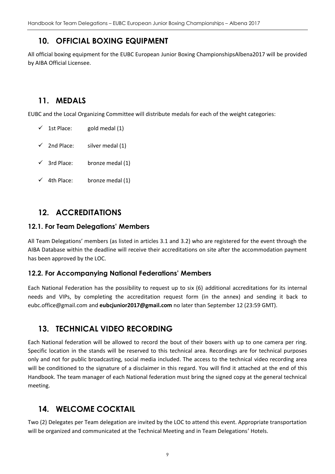## **10. OFFICIAL BOXING EQUIPMENT**

<span id="page-8-0"></span>All official boxing equipment for the EUBC European Junior Boxing ChampionshipsAlbena2017 will be provided by AIBA Official Licensee.

## <span id="page-8-1"></span>**11. MEDALS**

EUBC and the Local Organizing Committee will distribute medals for each of the weight categories:

- $\checkmark$  1st Place: gold medal (1)
- $\checkmark$  2nd Place: silver medal (1)
- $\checkmark$  3rd Place: bronze medal (1)
- $\checkmark$  4th Place: bronze medal (1)

## <span id="page-8-2"></span>**12. ACCREDITATIONS**

#### **12.1. For Team Delegations' Members**

All Team Delegations' members (as listed in articles 3.1 and 3.2) who are registered for the event through the AIBA Database within the deadline will receive their accreditations on site after the accommodation payment has been approved by the LOC.

### **12.2. For Accompanying National Federations' Members**

Each National Federation has the possibility to request up to six (6) additional accreditations for its internal needs and VIPs, by completing the accreditation request form (in the annex) and sending it back to eubc.office@gmail.com and **eubcjunior2017@gmail.com** no later than September 12 (23:59 GMT).

## <span id="page-8-3"></span>**13. TECHNICAL VIDEO RECORDING**

Each National federation will be allowed to record the bout of their boxers with up to one camera per ring. Specific location in the stands will be reserved to this technical area. Recordings are for technical purposes only and not for public broadcasting, social media included. The access to the technical video recording area will be conditioned to the signature of a disclaimer in this regard. You will find it attached at the end of this Handbook. The team manager of each National federation must bring the signed copy at the general technical meeting.

## <span id="page-8-4"></span>**14. WELCOME COCKTAIL**

Two (2) Delegates per Team delegation are invited by the LOC to attend this event. Appropriate transportation will be organized and communicated at the Technical Meeting and in Team Delegations' Hotels.